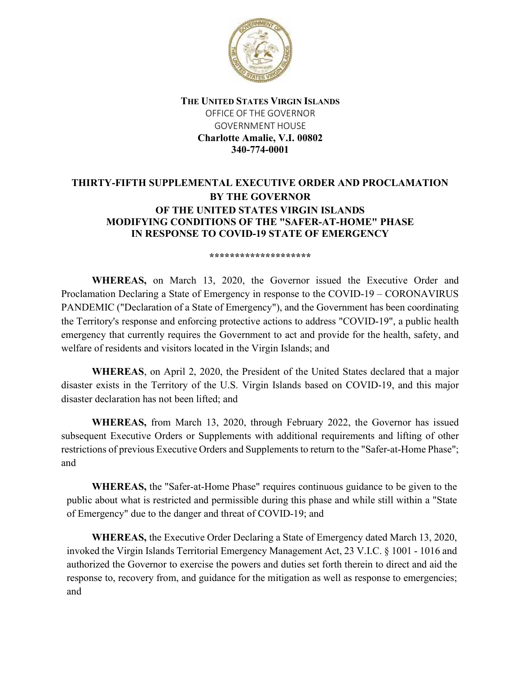

THE UNITED STATES VIRGIN ISLANDS OFFICE OF THE GOVERNOR GOVERNMENT HOUSE Charlotte Amalie, V.I. 00802 340-774-0001

## THIRTY-FIFTH SUPPLEMENTAL EXECUTIVE ORDER AND PROCLAMATION BY THE GOVERNOR OF THE UNITED STATES VIRGIN ISLANDS MODIFYING CONDITIONS OF THE "SAFER-AT-HOME" PHASE IN RESPONSE TO COVID-19 STATE OF EMERGENCY

## \*\*\*\*\*\*\*\*\*\*\*\*\*\*\*\*\*\*\*

WHEREAS, on March 13, 2020, the Governor issued the Executive Order and Proclamation Declaring a State of Emergency in response to the COVID-19 – CORONAVIRUS PANDEMIC ("Declaration of a State of Emergency"), and the Government has been coordinating the Territory's response and enforcing protective actions to address "COVID-19", a public health emergency that currently requires the Government to act and provide for the health, safety, and welfare of residents and visitors located in the Virgin Islands; and

WHEREAS, on April 2, 2020, the President of the United States declared that a major disaster exists in the Territory of the U.S. Virgin Islands based on COVID-19, and this major disaster declaration has not been lifted; and

WHEREAS, from March 13, 2020, through February 2022, the Governor has issued subsequent Executive Orders or Supplements with additional requirements and lifting of other restrictions of previous Executive Orders and Supplements to return to the "Safer-at-Home Phase"; and

WHEREAS, the "Safer-at-Home Phase" requires continuous guidance to be given to the public about what is restricted and permissible during this phase and while still within a "State of Emergency" due to the danger and threat of COVID-19; and

WHEREAS, the Executive Order Declaring a State of Emergency dated March 13, 2020, invoked the Virgin Islands Territorial Emergency Management Act, 23 V.I.C. § 1001 - 1016 and authorized the Governor to exercise the powers and duties set forth therein to direct and aid the response to, recovery from, and guidance for the mitigation as well as response to emergencies; and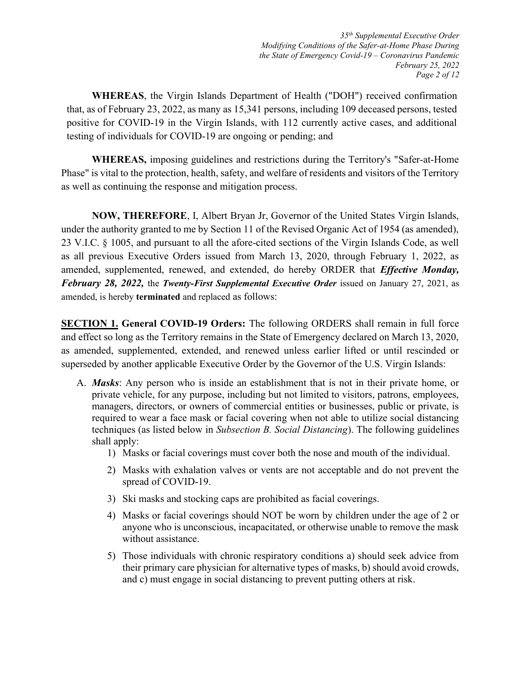35th Supplemental Executive Order Modifying Conditions of the Safer-at-Home Phase During the State of Emergency Covid-19 – Coronavirus Pandemic February 25, 2022 Page 2 of 12

WHEREAS, the Virgin Islands Department of Health ("DOH") received confirmation that, as of February 23, 2022, as many as 15,341 persons, including 109 deceased persons, tested positive for COVID-19 in the Virgin Islands, with 112 currently active cases, and additional testing of individuals for COVID-19 are ongoing or pending; and

WHEREAS, imposing guidelines and restrictions during the Territory's "Safer-at-Home Phase" is vital to the protection, health, safety, and welfare of residents and visitors of the Territory as well as continuing the response and mitigation process.

NOW, THEREFORE, I, Albert Bryan Jr, Governor of the United States Virgin Islands, under the authority granted to me by Section 11 of the Revised Organic Act of 1954 (as amended), 23 V.I.C. § 1005, and pursuant to all the afore-cited sections of the Virgin Islands Code, as well as all previous Executive Orders issued from March 13, 2020, through February 1, 2022, as amended, supplemented, renewed, and extended, do hereby ORDER that *Effective Monday*, February 28, 2022, the Twenty-First Supplemental Executive Order issued on January 27, 2021, as amended, is hereby terminated and replaced as follows:

SECTION 1. General COVID-19 Orders: The following ORDERS shall remain in full force and effect so long as the Territory remains in the State of Emergency declared on March 13, 2020, as amended, supplemented, extended, and renewed unless earlier lifted or until rescinded or superseded by another applicable Executive Order by the Governor of the U.S. Virgin Islands:

- A. Masks: Any person who is inside an establishment that is not in their private home, or private vehicle, for any purpose, including but not limited to visitors, patrons, employees, managers, directors, or owners of commercial entities or businesses, public or private, is required to wear a face mask or facial covering when not able to utilize social distancing techniques (as listed below in Subsection B. Social Distancing). The following guidelines shall apply:
	- 1) Masks or facial coverings must cover both the nose and mouth of the individual.
	- 2) Masks with exhalation valves or vents are not acceptable and do not prevent the spread of COVID-19.
	- 3) Ski masks and stocking caps are prohibited as facial coverings.
	- 4) Masks or facial coverings should NOT be worn by children under the age of 2 or anyone who is unconscious, incapacitated, or otherwise unable to remove the mask without assistance.
	- 5) Those individuals with chronic respiratory conditions a) should seek advice from their primary care physician for alternative types of masks, b) should avoid crowds, and c) must engage in social distancing to prevent putting others at risk.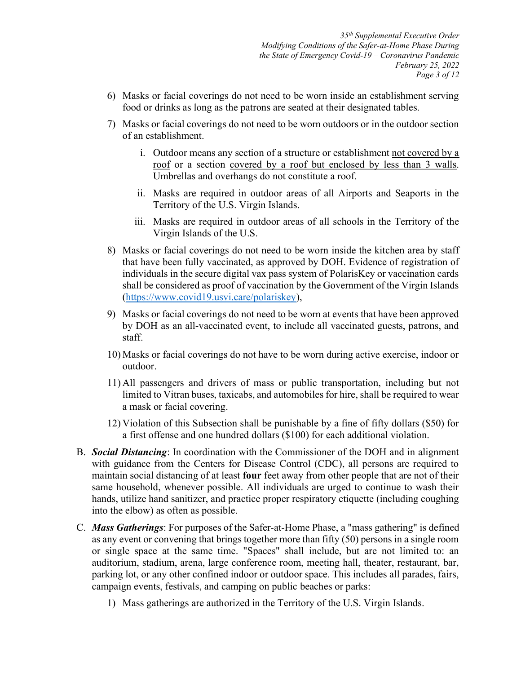35th Supplemental Executive Order Modifying Conditions of the Safer-at-Home Phase During the State of Emergency Covid-19 – Coronavirus Pandemic February 25, 2022 Page 3 of 12

- 6) Masks or facial coverings do not need to be worn inside an establishment serving food or drinks as long as the patrons are seated at their designated tables.
- 7) Masks or facial coverings do not need to be worn outdoors or in the outdoor section of an establishment.
	- i. Outdoor means any section of a structure or establishment not covered by a roof or a section covered by a roof but enclosed by less than 3 walls. Umbrellas and overhangs do not constitute a roof.
	- ii. Masks are required in outdoor areas of all Airports and Seaports in the Territory of the U.S. Virgin Islands.
	- iii. Masks are required in outdoor areas of all schools in the Territory of the Virgin Islands of the U.S.
- 8) Masks or facial coverings do not need to be worn inside the kitchen area by staff that have been fully vaccinated, as approved by DOH. Evidence of registration of individuals in the secure digital vax pass system of PolarisKey or vaccination cards shall be considered as proof of vaccination by the Government of the Virgin Islands (https://www.covid19.usvi.care/polariskey),
- 9) Masks or facial coverings do not need to be worn at events that have been approved by DOH as an all-vaccinated event, to include all vaccinated guests, patrons, and staff.
- 10) Masks or facial coverings do not have to be worn during active exercise, indoor or outdoor.
- 11) All passengers and drivers of mass or public transportation, including but not limited to Vitran buses, taxicabs, and automobiles for hire, shall be required to wear a mask or facial covering.
- 12) Violation of this Subsection shall be punishable by a fine of fifty dollars (\$50) for a first offense and one hundred dollars (\$100) for each additional violation.
- B. Social Distancing: In coordination with the Commissioner of the DOH and in alignment with guidance from the Centers for Disease Control (CDC), all persons are required to maintain social distancing of at least **four** feet away from other people that are not of their same household, whenever possible. All individuals are urged to continue to wash their hands, utilize hand sanitizer, and practice proper respiratory etiquette (including coughing into the elbow) as often as possible.
- C. Mass Gatherings: For purposes of the Safer-at-Home Phase, a "mass gathering" is defined as any event or convening that brings together more than fifty (50) persons in a single room or single space at the same time. "Spaces" shall include, but are not limited to: an auditorium, stadium, arena, large conference room, meeting hall, theater, restaurant, bar, parking lot, or any other confined indoor or outdoor space. This includes all parades, fairs, campaign events, festivals, and camping on public beaches or parks:
	- 1) Mass gatherings are authorized in the Territory of the U.S. Virgin Islands.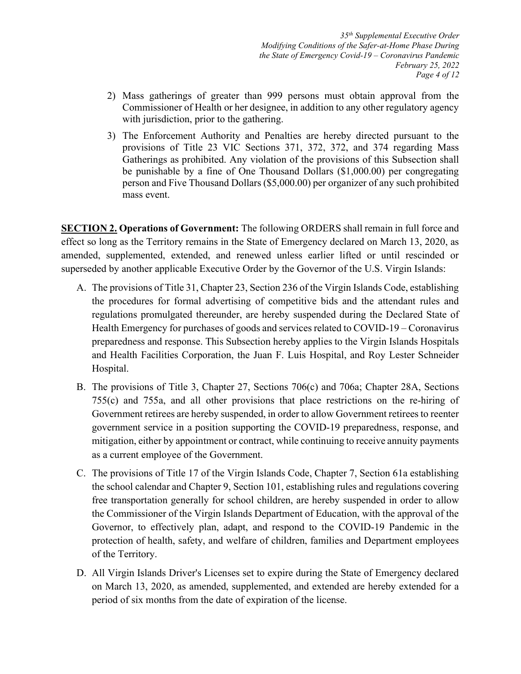35th Supplemental Executive Order Modifying Conditions of the Safer-at-Home Phase During the State of Emergency Covid-19 – Coronavirus Pandemic February 25, 2022 Page 4 of 12

- 2) Mass gatherings of greater than 999 persons must obtain approval from the Commissioner of Health or her designee, in addition to any other regulatory agency with jurisdiction, prior to the gathering.
- 3) The Enforcement Authority and Penalties are hereby directed pursuant to the provisions of Title 23 VIC Sections 371, 372, 372, and 374 regarding Mass Gatherings as prohibited. Any violation of the provisions of this Subsection shall be punishable by a fine of One Thousand Dollars (\$1,000.00) per congregating person and Five Thousand Dollars (\$5,000.00) per organizer of any such prohibited mass event.

**SECTION 2. Operations of Government:** The following ORDERS shall remain in full force and effect so long as the Territory remains in the State of Emergency declared on March 13, 2020, as amended, supplemented, extended, and renewed unless earlier lifted or until rescinded or superseded by another applicable Executive Order by the Governor of the U.S. Virgin Islands:

- A. The provisions of Title 31, Chapter 23, Section 236 of the Virgin Islands Code, establishing the procedures for formal advertising of competitive bids and the attendant rules and regulations promulgated thereunder, are hereby suspended during the Declared State of Health Emergency for purchases of goods and services related to COVID-19 – Coronavirus preparedness and response. This Subsection hereby applies to the Virgin Islands Hospitals and Health Facilities Corporation, the Juan F. Luis Hospital, and Roy Lester Schneider Hospital.
- B. The provisions of Title 3, Chapter 27, Sections 706(c) and 706a; Chapter 28A, Sections 755(c) and 755a, and all other provisions that place restrictions on the re-hiring of Government retirees are hereby suspended, in order to allow Government retirees to reenter government service in a position supporting the COVID-19 preparedness, response, and mitigation, either by appointment or contract, while continuing to receive annuity payments as a current employee of the Government.
- C. The provisions of Title 17 of the Virgin Islands Code, Chapter 7, Section 61a establishing the school calendar and Chapter 9, Section 101, establishing rules and regulations covering free transportation generally for school children, are hereby suspended in order to allow the Commissioner of the Virgin Islands Department of Education, with the approval of the Governor, to effectively plan, adapt, and respond to the COVID-19 Pandemic in the protection of health, safety, and welfare of children, families and Department employees of the Territory.
- D. All Virgin Islands Driver's Licenses set to expire during the State of Emergency declared on March 13, 2020, as amended, supplemented, and extended are hereby extended for a period of six months from the date of expiration of the license.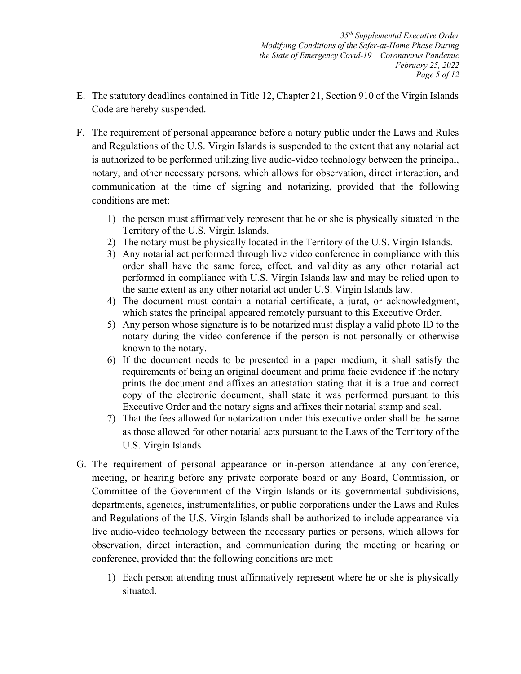35th Supplemental Executive Order Modifying Conditions of the Safer-at-Home Phase During the State of Emergency Covid-19 – Coronavirus Pandemic February 25, 2022 Page 5 of 12

- E. The statutory deadlines contained in Title 12, Chapter 21, Section 910 of the Virgin Islands Code are hereby suspended.
- F. The requirement of personal appearance before a notary public under the Laws and Rules and Regulations of the U.S. Virgin Islands is suspended to the extent that any notarial act is authorized to be performed utilizing live audio-video technology between the principal, notary, and other necessary persons, which allows for observation, direct interaction, and communication at the time of signing and notarizing, provided that the following conditions are met:
	- 1) the person must affirmatively represent that he or she is physically situated in the Territory of the U.S. Virgin Islands.
	- 2) The notary must be physically located in the Territory of the U.S. Virgin Islands.
	- 3) Any notarial act performed through live video conference in compliance with this order shall have the same force, effect, and validity as any other notarial act performed in compliance with U.S. Virgin Islands law and may be relied upon to the same extent as any other notarial act under U.S. Virgin Islands law.
	- 4) The document must contain a notarial certificate, a jurat, or acknowledgment, which states the principal appeared remotely pursuant to this Executive Order.
	- 5) Any person whose signature is to be notarized must display a valid photo ID to the notary during the video conference if the person is not personally or otherwise known to the notary.
	- 6) If the document needs to be presented in a paper medium, it shall satisfy the requirements of being an original document and prima facie evidence if the notary prints the document and affixes an attestation stating that it is a true and correct copy of the electronic document, shall state it was performed pursuant to this Executive Order and the notary signs and affixes their notarial stamp and seal.
	- 7) That the fees allowed for notarization under this executive order shall be the same as those allowed for other notarial acts pursuant to the Laws of the Territory of the U.S. Virgin Islands
- G. The requirement of personal appearance or in-person attendance at any conference, meeting, or hearing before any private corporate board or any Board, Commission, or Committee of the Government of the Virgin Islands or its governmental subdivisions, departments, agencies, instrumentalities, or public corporations under the Laws and Rules and Regulations of the U.S. Virgin Islands shall be authorized to include appearance via live audio-video technology between the necessary parties or persons, which allows for observation, direct interaction, and communication during the meeting or hearing or conference, provided that the following conditions are met:
	- 1) Each person attending must affirmatively represent where he or she is physically situated.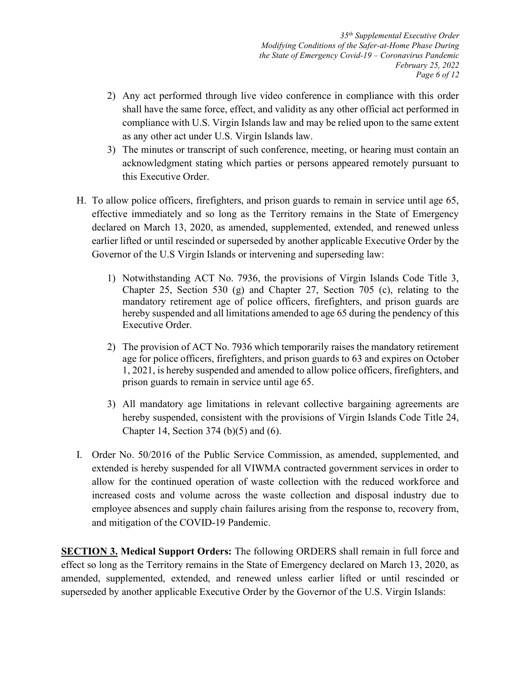35th Supplemental Executive Order Modifying Conditions of the Safer-at-Home Phase During the State of Emergency Covid-19 – Coronavirus Pandemic February 25, 2022 Page 6 of 12

- 2) Any act performed through live video conference in compliance with this order shall have the same force, effect, and validity as any other official act performed in compliance with U.S. Virgin Islands law and may be relied upon to the same extent as any other act under U.S. Virgin Islands law.
- 3) The minutes or transcript of such conference, meeting, or hearing must contain an acknowledgment stating which parties or persons appeared remotely pursuant to this Executive Order.
- H. To allow police officers, firefighters, and prison guards to remain in service until age 65, effective immediately and so long as the Territory remains in the State of Emergency declared on March 13, 2020, as amended, supplemented, extended, and renewed unless earlier lifted or until rescinded or superseded by another applicable Executive Order by the Governor of the U.S Virgin Islands or intervening and superseding law:
	- 1) Notwithstanding ACT No. 7936, the provisions of Virgin Islands Code Title 3, Chapter 25, Section 530 (g) and Chapter 27, Section 705 (c), relating to the mandatory retirement age of police officers, firefighters, and prison guards are hereby suspended and all limitations amended to age 65 during the pendency of this Executive Order.
	- 2) The provision of ACT No. 7936 which temporarily raises the mandatory retirement age for police officers, firefighters, and prison guards to 63 and expires on October 1, 2021, is hereby suspended and amended to allow police officers, firefighters, and prison guards to remain in service until age 65.
	- 3) All mandatory age limitations in relevant collective bargaining agreements are hereby suspended, consistent with the provisions of Virgin Islands Code Title 24, Chapter 14, Section 374 (b)(5) and (6).
- I. Order No. 50/2016 of the Public Service Commission, as amended, supplemented, and extended is hereby suspended for all VIWMA contracted government services in order to allow for the continued operation of waste collection with the reduced workforce and increased costs and volume across the waste collection and disposal industry due to employee absences and supply chain failures arising from the response to, recovery from, and mitigation of the COVID-19 Pandemic.

**SECTION 3. Medical Support Orders:** The following ORDERS shall remain in full force and effect so long as the Territory remains in the State of Emergency declared on March 13, 2020, as amended, supplemented, extended, and renewed unless earlier lifted or until rescinded or superseded by another applicable Executive Order by the Governor of the U.S. Virgin Islands: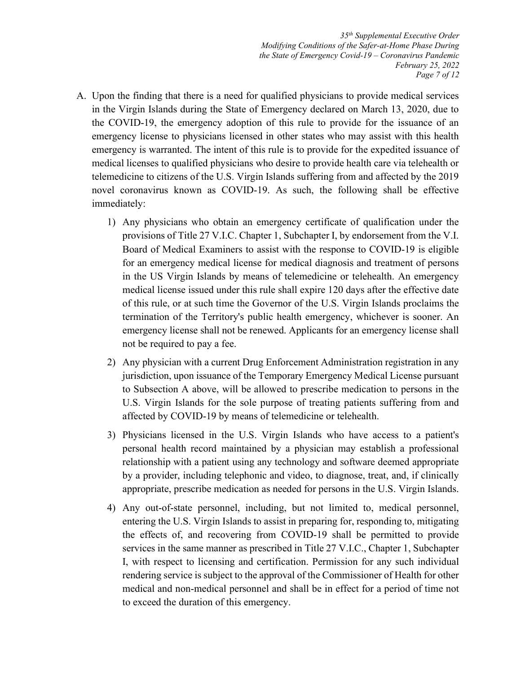35th Supplemental Executive Order Modifying Conditions of the Safer-at-Home Phase During the State of Emergency Covid-19 – Coronavirus Pandemic February 25, 2022 Page 7 of 12

- A. Upon the finding that there is a need for qualified physicians to provide medical services in the Virgin Islands during the State of Emergency declared on March 13, 2020, due to the COVID-19, the emergency adoption of this rule to provide for the issuance of an emergency license to physicians licensed in other states who may assist with this health emergency is warranted. The intent of this rule is to provide for the expedited issuance of medical licenses to qualified physicians who desire to provide health care via telehealth or telemedicine to citizens of the U.S. Virgin Islands suffering from and affected by the 2019 novel coronavirus known as COVID-19. As such, the following shall be effective immediately:
	- 1) Any physicians who obtain an emergency certificate of qualification under the provisions of Title 27 V.I.C. Chapter 1, Subchapter I, by endorsement from the V.I. Board of Medical Examiners to assist with the response to COVID-19 is eligible for an emergency medical license for medical diagnosis and treatment of persons in the US Virgin Islands by means of telemedicine or telehealth. An emergency medical license issued under this rule shall expire 120 days after the effective date of this rule, or at such time the Governor of the U.S. Virgin Islands proclaims the termination of the Territory's public health emergency, whichever is sooner. An emergency license shall not be renewed. Applicants for an emergency license shall not be required to pay a fee.
	- 2) Any physician with a current Drug Enforcement Administration registration in any jurisdiction, upon issuance of the Temporary Emergency Medical License pursuant to Subsection A above, will be allowed to prescribe medication to persons in the U.S. Virgin Islands for the sole purpose of treating patients suffering from and affected by COVID-19 by means of telemedicine or telehealth.
	- 3) Physicians licensed in the U.S. Virgin Islands who have access to a patient's personal health record maintained by a physician may establish a professional relationship with a patient using any technology and software deemed appropriate by a provider, including telephonic and video, to diagnose, treat, and, if clinically appropriate, prescribe medication as needed for persons in the U.S. Virgin Islands.
	- 4) Any out-of-state personnel, including, but not limited to, medical personnel, entering the U.S. Virgin Islands to assist in preparing for, responding to, mitigating the effects of, and recovering from COVID-19 shall be permitted to provide services in the same manner as prescribed in Title 27 V.I.C., Chapter 1, Subchapter I, with respect to licensing and certification. Permission for any such individual rendering service is subject to the approval of the Commissioner of Health for other medical and non-medical personnel and shall be in effect for a period of time not to exceed the duration of this emergency.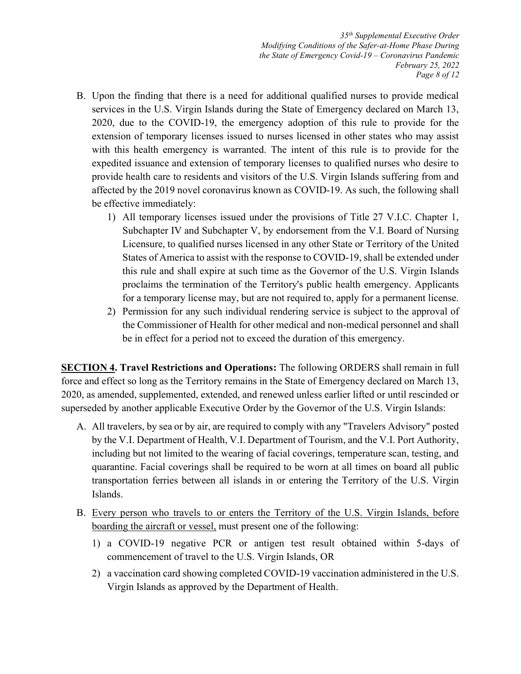35th Supplemental Executive Order Modifying Conditions of the Safer-at-Home Phase During the State of Emergency Covid-19 – Coronavirus Pandemic February 25, 2022 Page 8 of 12

- B. Upon the finding that there is a need for additional qualified nurses to provide medical services in the U.S. Virgin Islands during the State of Emergency declared on March 13, 2020, due to the COVID-19, the emergency adoption of this rule to provide for the extension of temporary licenses issued to nurses licensed in other states who may assist with this health emergency is warranted. The intent of this rule is to provide for the expedited issuance and extension of temporary licenses to qualified nurses who desire to provide health care to residents and visitors of the U.S. Virgin Islands suffering from and affected by the 2019 novel coronavirus known as COVID-19. As such, the following shall be effective immediately:
	- 1) All temporary licenses issued under the provisions of Title 27 V.I.C. Chapter 1, Subchapter IV and Subchapter V, by endorsement from the V.I. Board of Nursing Licensure, to qualified nurses licensed in any other State or Territory of the United States of America to assist with the response to COVID-19, shall be extended under this rule and shall expire at such time as the Governor of the U.S. Virgin Islands proclaims the termination of the Territory's public health emergency. Applicants for a temporary license may, but are not required to, apply for a permanent license.
	- 2) Permission for any such individual rendering service is subject to the approval of the Commissioner of Health for other medical and non-medical personnel and shall be in effect for a period not to exceed the duration of this emergency.

**SECTION 4. Travel Restrictions and Operations:** The following ORDERS shall remain in full force and effect so long as the Territory remains in the State of Emergency declared on March 13, 2020, as amended, supplemented, extended, and renewed unless earlier lifted or until rescinded or superseded by another applicable Executive Order by the Governor of the U.S. Virgin Islands:

- A. All travelers, by sea or by air, are required to comply with any "Travelers Advisory" posted by the V.I. Department of Health, V.I. Department of Tourism, and the V.I. Port Authority, including but not limited to the wearing of facial coverings, temperature scan, testing, and quarantine. Facial coverings shall be required to be worn at all times on board all public transportation ferries between all islands in or entering the Territory of the U.S. Virgin Islands.
- B. Every person who travels to or enters the Territory of the U.S. Virgin Islands, before boarding the aircraft or vessel, must present one of the following:
	- 1) a COVID-19 negative PCR or antigen test result obtained within 5-days of commencement of travel to the U.S. Virgin Islands, OR
	- 2) a vaccination card showing completed COVID-19 vaccination administered in the U.S. Virgin Islands as approved by the Department of Health.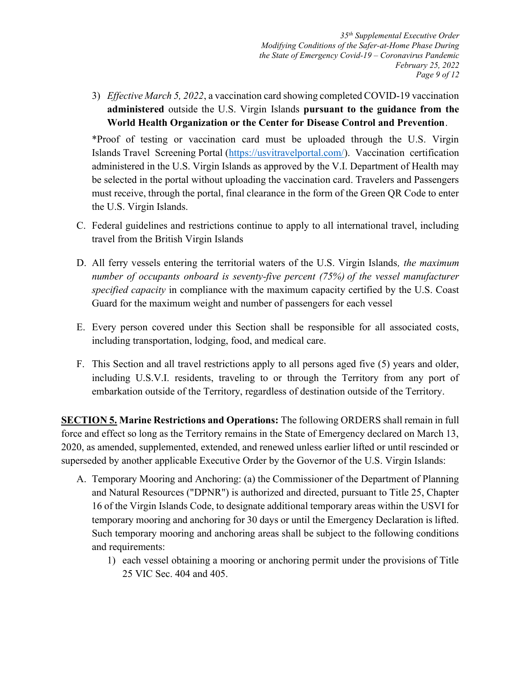35th Supplemental Executive Order Modifying Conditions of the Safer-at-Home Phase During the State of Emergency Covid-19 – Coronavirus Pandemic February 25, 2022 Page 9 of 12

3) Effective March 5, 2022, a vaccination card showing completed COVID-19 vaccination administered outside the U.S. Virgin Islands pursuant to the guidance from the World Health Organization or the Center for Disease Control and Prevention.

\*Proof of testing or vaccination card must be uploaded through the U.S. Virgin Islands Travel Screening Portal (https://usvitravelportal.com/). Vaccination certification administered in the U.S. Virgin Islands as approved by the V.I. Department of Health may be selected in the portal without uploading the vaccination card. Travelers and Passengers must receive, through the portal, final clearance in the form of the Green QR Code to enter the U.S. Virgin Islands.

- C. Federal guidelines and restrictions continue to apply to all international travel, including travel from the British Virgin Islands
- D. All ferry vessels entering the territorial waters of the U.S. Virgin Islands, the maximum number of occupants onboard is seventy-five percent (75%) of the vessel manufacturer specified capacity in compliance with the maximum capacity certified by the U.S. Coast Guard for the maximum weight and number of passengers for each vessel
- E. Every person covered under this Section shall be responsible for all associated costs, including transportation, lodging, food, and medical care.
- F. This Section and all travel restrictions apply to all persons aged five (5) years and older, including U.S.V.I. residents, traveling to or through the Territory from any port of embarkation outside of the Territory, regardless of destination outside of the Territory.

SECTION 5. Marine Restrictions and Operations: The following ORDERS shall remain in full force and effect so long as the Territory remains in the State of Emergency declared on March 13, 2020, as amended, supplemented, extended, and renewed unless earlier lifted or until rescinded or superseded by another applicable Executive Order by the Governor of the U.S. Virgin Islands:

- A. Temporary Mooring and Anchoring: (a) the Commissioner of the Department of Planning and Natural Resources ("DPNR") is authorized and directed, pursuant to Title 25, Chapter 16 of the Virgin Islands Code, to designate additional temporary areas within the USVI for temporary mooring and anchoring for 30 days or until the Emergency Declaration is lifted. Such temporary mooring and anchoring areas shall be subject to the following conditions and requirements:
	- 1) each vessel obtaining a mooring or anchoring permit under the provisions of Title 25 VIC Sec. 404 and 405.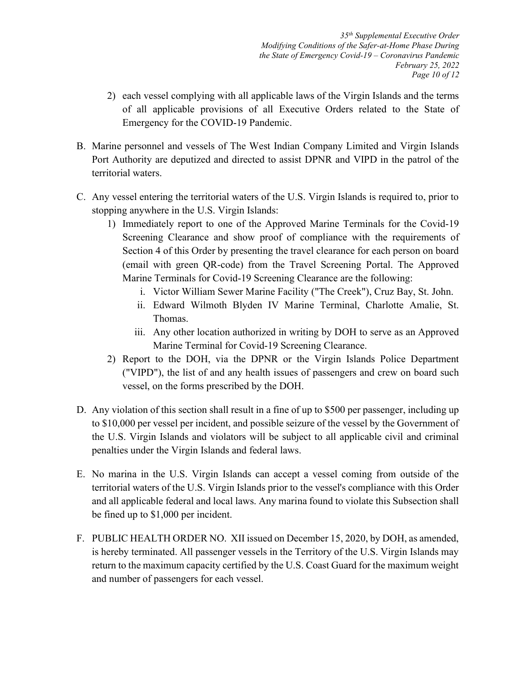- 2) each vessel complying with all applicable laws of the Virgin Islands and the terms of all applicable provisions of all Executive Orders related to the State of Emergency for the COVID-19 Pandemic.
- B. Marine personnel and vessels of The West Indian Company Limited and Virgin Islands Port Authority are deputized and directed to assist DPNR and VIPD in the patrol of the territorial waters.
- C. Any vessel entering the territorial waters of the U.S. Virgin Islands is required to, prior to stopping anywhere in the U.S. Virgin Islands:
	- 1) Immediately report to one of the Approved Marine Terminals for the Covid-19 Screening Clearance and show proof of compliance with the requirements of Section 4 of this Order by presenting the travel clearance for each person on board (email with green QR-code) from the Travel Screening Portal. The Approved Marine Terminals for Covid-19 Screening Clearance are the following:
		- i. Victor William Sewer Marine Facility ("The Creek"), Cruz Bay, St. John.
		- ii. Edward Wilmoth Blyden IV Marine Terminal, Charlotte Amalie, St. Thomas.
		- iii. Any other location authorized in writing by DOH to serve as an Approved Marine Terminal for Covid-19 Screening Clearance.
	- 2) Report to the DOH, via the DPNR or the Virgin Islands Police Department ("VIPD"), the list of and any health issues of passengers and crew on board such vessel, on the forms prescribed by the DOH.
- D. Any violation of this section shall result in a fine of up to \$500 per passenger, including up to \$10,000 per vessel per incident, and possible seizure of the vessel by the Government of the U.S. Virgin Islands and violators will be subject to all applicable civil and criminal penalties under the Virgin Islands and federal laws.
- E. No marina in the U.S. Virgin Islands can accept a vessel coming from outside of the territorial waters of the U.S. Virgin Islands prior to the vessel's compliance with this Order and all applicable federal and local laws. Any marina found to violate this Subsection shall be fined up to \$1,000 per incident.
- F. PUBLIC HEALTH ORDER NO. XII issued on December 15, 2020, by DOH, as amended, is hereby terminated. All passenger vessels in the Territory of the U.S. Virgin Islands may return to the maximum capacity certified by the U.S. Coast Guard for the maximum weight and number of passengers for each vessel.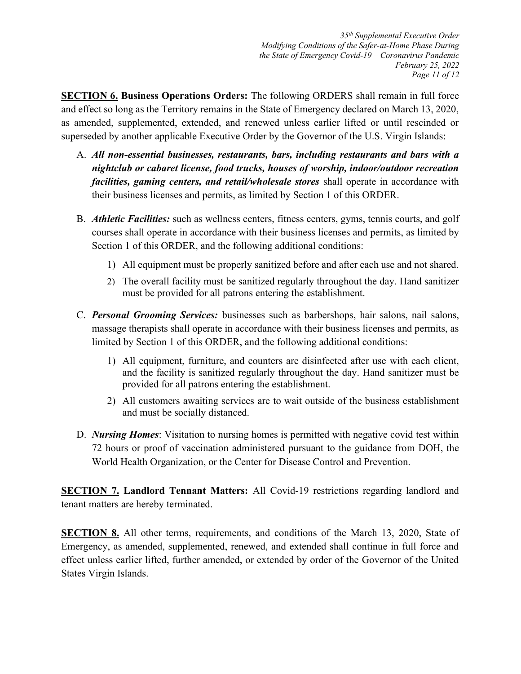35th Supplemental Executive Order Modifying Conditions of the Safer-at-Home Phase During the State of Emergency Covid-19 – Coronavirus Pandemic February 25, 2022 Page 11 of 12

SECTION 6. Business Operations Orders: The following ORDERS shall remain in full force and effect so long as the Territory remains in the State of Emergency declared on March 13, 2020, as amended, supplemented, extended, and renewed unless earlier lifted or until rescinded or superseded by another applicable Executive Order by the Governor of the U.S. Virgin Islands:

- A. All non-essential businesses, restaurants, bars, including restaurants and bars with a nightclub or cabaret license, food trucks, houses of worship, indoor/outdoor recreation facilities, gaming centers, and retail/wholesale stores shall operate in accordance with their business licenses and permits, as limited by Section 1 of this ORDER.
- B. *Athletic Facilities*: such as wellness centers, fitness centers, gyms, tennis courts, and golf courses shall operate in accordance with their business licenses and permits, as limited by Section 1 of this ORDER, and the following additional conditions:
	- 1) All equipment must be properly sanitized before and after each use and not shared.
	- 2) The overall facility must be sanitized regularly throughout the day. Hand sanitizer must be provided for all patrons entering the establishment.
- C. Personal Grooming Services: businesses such as barbershops, hair salons, nail salons, massage therapists shall operate in accordance with their business licenses and permits, as limited by Section 1 of this ORDER, and the following additional conditions:
	- 1) All equipment, furniture, and counters are disinfected after use with each client, and the facility is sanitized regularly throughout the day. Hand sanitizer must be provided for all patrons entering the establishment.
	- 2) All customers awaiting services are to wait outside of the business establishment and must be socially distanced.
- D. Nursing Homes: Visitation to nursing homes is permitted with negative covid test within 72 hours or proof of vaccination administered pursuant to the guidance from DOH, the World Health Organization, or the Center for Disease Control and Prevention.

**SECTION 7. Landlord Tennant Matters:** All Covid-19 restrictions regarding landlord and tenant matters are hereby terminated.

**SECTION 8.** All other terms, requirements, and conditions of the March 13, 2020, State of Emergency, as amended, supplemented, renewed, and extended shall continue in full force and effect unless earlier lifted, further amended, or extended by order of the Governor of the United States Virgin Islands.